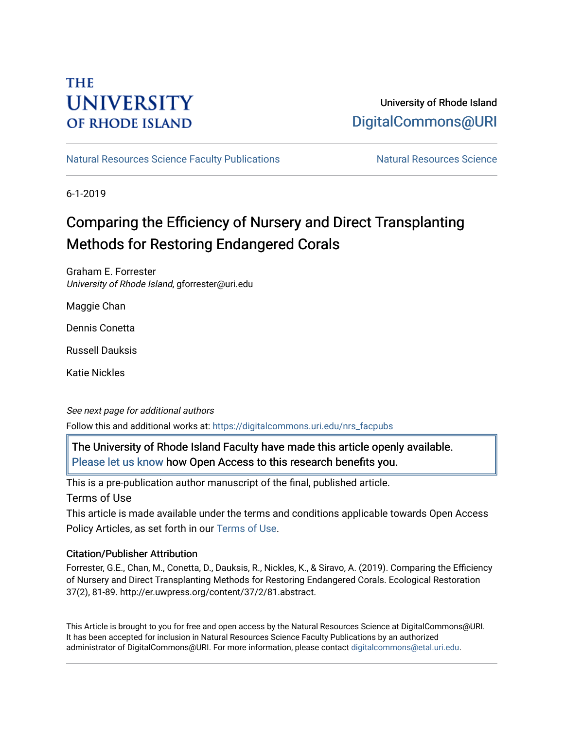# **THE UNIVERSITY OF RHODE ISLAND**

# University of Rhode Island [DigitalCommons@URI](https://digitalcommons.uri.edu/)

[Natural Resources Science Faculty Publications](https://digitalcommons.uri.edu/nrs_facpubs) Natural Resources Science

6-1-2019

# Comparing the Efficiency of Nursery and Direct Transplanting Methods for Restoring Endangered Corals

Graham E. Forrester University of Rhode Island, gforrester@uri.edu

Maggie Chan

Dennis Conetta

Russell Dauksis

Katie Nickles

See next page for additional authors Follow this and additional works at: [https://digitalcommons.uri.edu/nrs\\_facpubs](https://digitalcommons.uri.edu/nrs_facpubs?utm_source=digitalcommons.uri.edu%2Fnrs_facpubs%2F179&utm_medium=PDF&utm_campaign=PDFCoverPages) 

The University of Rhode Island Faculty have made this article openly available. [Please let us know](http://web.uri.edu/library-digital-initiatives/open-access-online-form/) how Open Access to this research benefits you.

This is a pre-publication author manuscript of the final, published article.

Terms of Use

This article is made available under the terms and conditions applicable towards Open Access Policy Articles, as set forth in our [Terms of Use](https://digitalcommons.uri.edu/nrs_facpubs/oa_policy_terms.html).

## Citation/Publisher Attribution

Forrester, G.E., Chan, M., Conetta, D., Dauksis, R., Nickles, K., & Siravo, A. (2019). Comparing the Efficiency of Nursery and Direct Transplanting Methods for Restoring Endangered Corals. Ecological Restoration 37(2), 81-89. http://er.uwpress.org/content/37/2/81.abstract.

This Article is brought to you for free and open access by the Natural Resources Science at DigitalCommons@URI. It has been accepted for inclusion in Natural Resources Science Faculty Publications by an authorized administrator of DigitalCommons@URI. For more information, please contact [digitalcommons@etal.uri.edu.](mailto:digitalcommons@etal.uri.edu)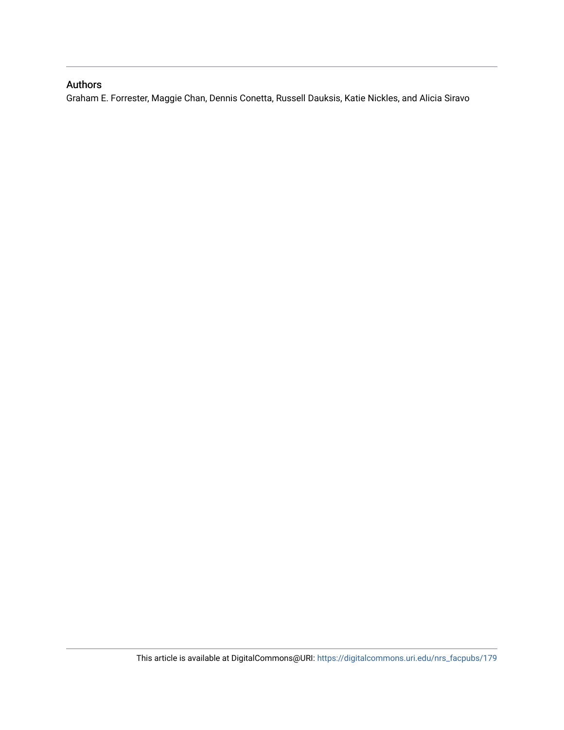# Authors

Graham E. Forrester, Maggie Chan, Dennis Conetta, Russell Dauksis, Katie Nickles, and Alicia Siravo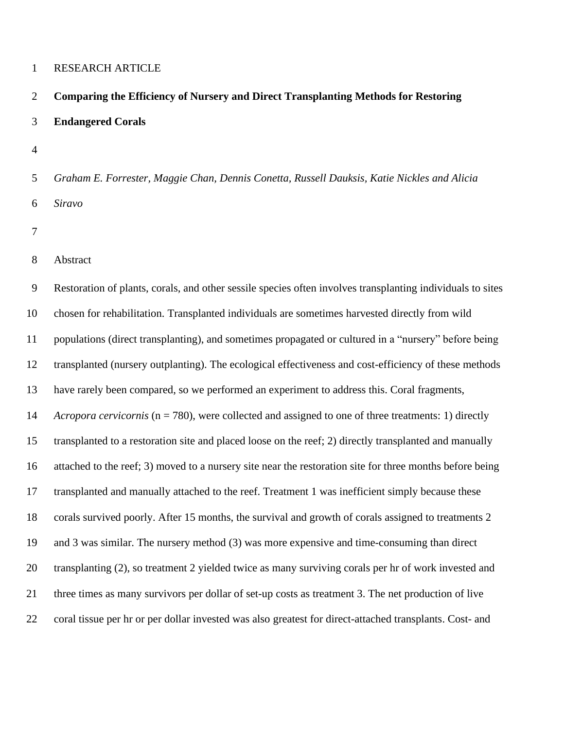#### RESEARCH ARTICLE

# **Comparing the Efficiency of Nursery and Direct Transplanting Methods for Restoring Endangered Corals**

- 
- *Graham E. Forrester, Maggie Chan, Dennis Conetta, Russell Dauksis, Katie Nickles and Alicia Siravo*
- 
- Abstract

 Restoration of plants, corals, and other sessile species often involves transplanting individuals to sites chosen for rehabilitation. Transplanted individuals are sometimes harvested directly from wild populations (direct transplanting), and sometimes propagated or cultured in a "nursery" before being transplanted (nursery outplanting). The ecological effectiveness and cost-efficiency of these methods have rarely been compared, so we performed an experiment to address this. Coral fragments, *Acropora cervicornis* (n = 780), were collected and assigned to one of three treatments: 1) directly transplanted to a restoration site and placed loose on the reef; 2) directly transplanted and manually attached to the reef; 3) moved to a nursery site near the restoration site for three months before being transplanted and manually attached to the reef. Treatment 1 was inefficient simply because these corals survived poorly. After 15 months, the survival and growth of corals assigned to treatments 2 and 3 was similar. The nursery method (3) was more expensive and time-consuming than direct transplanting (2), so treatment 2 yielded twice as many surviving corals per hr of work invested and three times as many survivors per dollar of set-up costs as treatment 3. The net production of live coral tissue per hr or per dollar invested was also greatest for direct-attached transplants. Cost- and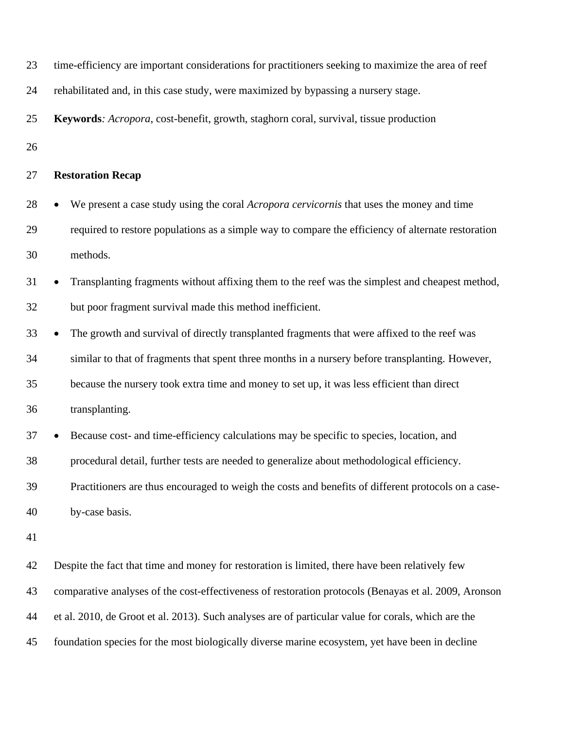| 23 | time-efficiency are important considerations for practitioners seeking to maximize the area of reef   |
|----|-------------------------------------------------------------------------------------------------------|
| 24 | rehabilitated and, in this case study, were maximized by bypassing a nursery stage.                   |
| 25 | Keywords: Acropora, cost-benefit, growth, staghorn coral, survival, tissue production                 |
| 26 |                                                                                                       |
| 27 | <b>Restoration Recap</b>                                                                              |
| 28 | We present a case study using the coral Acropora cervicornis that uses the money and time             |
| 29 | required to restore populations as a simple way to compare the efficiency of alternate restoration    |
| 30 | methods.                                                                                              |
| 31 | Transplanting fragments without affixing them to the reef was the simplest and cheapest method,       |
| 32 | but poor fragment survival made this method inefficient.                                              |
| 33 | The growth and survival of directly transplanted fragments that were affixed to the reef was          |
| 34 | similar to that of fragments that spent three months in a nursery before transplanting. However,      |
| 35 | because the nursery took extra time and money to set up, it was less efficient than direct            |
| 36 | transplanting.                                                                                        |
| 37 | Because cost- and time-efficiency calculations may be specific to species, location, and              |
| 38 | procedural detail, further tests are needed to generalize about methodological efficiency.            |
| 39 | Practitioners are thus encouraged to weigh the costs and benefits of different protocols on a case-   |
| 40 | by-case basis.                                                                                        |
| 41 |                                                                                                       |
| 42 | Despite the fact that time and money for restoration is limited, there have been relatively few       |
| 43 | comparative analyses of the cost-effectiveness of restoration protocols (Benayas et al. 2009, Aronson |
| 44 | et al. 2010, de Groot et al. 2013). Such analyses are of particular value for corals, which are the   |

foundation species for the most biologically diverse marine ecosystem, yet have been in decline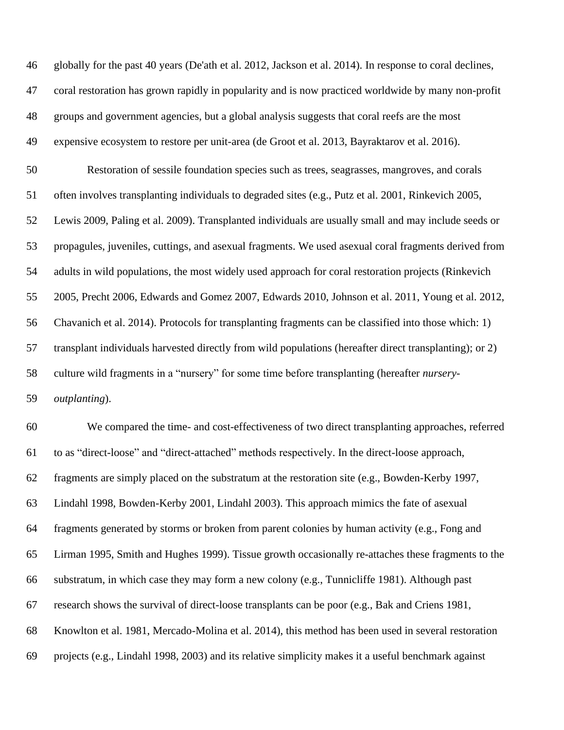globally for the past 40 years (De'ath et al. 2012, Jackson et al. 2014). In response to coral declines, coral restoration has grown rapidly in popularity and is now practiced worldwide by many non-profit groups and government agencies, but a global analysis suggests that coral reefs are the most expensive ecosystem to restore per unit-area (de Groot et al. 2013, Bayraktarov et al. 2016). Restoration of sessile foundation species such as trees, seagrasses, mangroves, and corals often involves transplanting individuals to degraded sites (e.g., Putz et al. 2001, Rinkevich 2005, Lewis 2009, Paling et al. 2009). Transplanted individuals are usually small and may include seeds or propagules, juveniles, cuttings, and asexual fragments. We used asexual coral fragments derived from adults in wild populations, the most widely used approach for coral restoration projects (Rinkevich 2005, Precht 2006, Edwards and Gomez 2007, Edwards 2010, Johnson et al. 2011, Young et al. 2012, Chavanich et al. 2014). Protocols for transplanting fragments can be classified into those which: 1) transplant individuals harvested directly from wild populations (hereafter direct transplanting); or 2) culture wild fragments in a "nursery" for some time before transplanting (hereafter *nursery- outplanting*). We compared the time- and cost-effectiveness of two direct transplanting approaches, referred to as "direct-loose" and "direct-attached" methods respectively. In the direct-loose approach, fragments are simply placed on the substratum at the restoration site (e.g., Bowden-Kerby 1997,

Lindahl 1998, Bowden-Kerby 2001, Lindahl 2003). This approach mimics the fate of asexual

fragments generated by storms or broken from parent colonies by human activity (e.g., Fong and

Lirman 1995, Smith and Hughes 1999). Tissue growth occasionally re-attaches these fragments to the

substratum, in which case they may form a new colony (e.g., Tunnicliffe 1981). Although past

research shows the survival of direct-loose transplants can be poor (e.g., Bak and Criens 1981,

Knowlton et al. 1981, Mercado-Molina et al. 2014), this method has been used in several restoration

projects (e.g., Lindahl 1998, 2003) and its relative simplicity makes it a useful benchmark against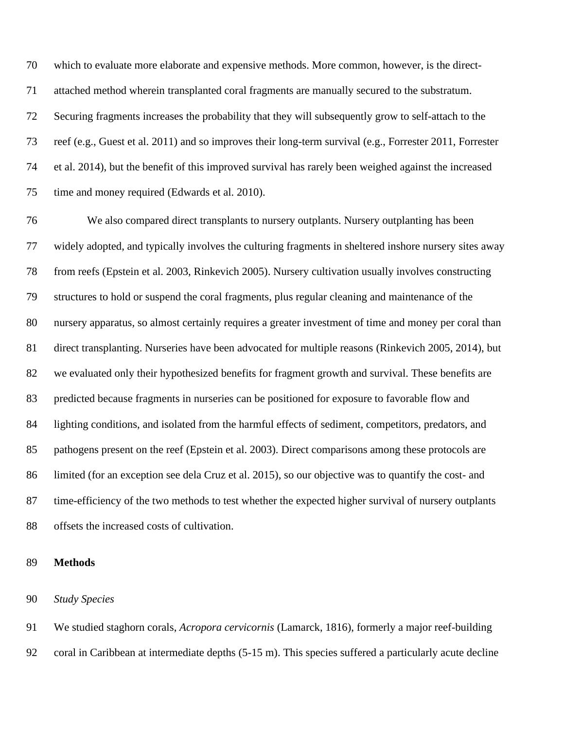which to evaluate more elaborate and expensive methods. More common, however, is the direct- attached method wherein transplanted coral fragments are manually secured to the substratum. Securing fragments increases the probability that they will subsequently grow to self-attach to the reef (e.g., Guest et al. 2011) and so improves their long-term survival (e.g., Forrester 2011, Forrester et al. 2014), but the benefit of this improved survival has rarely been weighed against the increased time and money required (Edwards et al. 2010).

 We also compared direct transplants to nursery outplants. Nursery outplanting has been widely adopted, and typically involves the culturing fragments in sheltered inshore nursery sites away from reefs (Epstein et al. 2003, Rinkevich 2005). Nursery cultivation usually involves constructing structures to hold or suspend the coral fragments, plus regular cleaning and maintenance of the nursery apparatus, so almost certainly requires a greater investment of time and money per coral than direct transplanting. Nurseries have been advocated for multiple reasons (Rinkevich 2005, 2014), but we evaluated only their hypothesized benefits for fragment growth and survival. These benefits are predicted because fragments in nurseries can be positioned for exposure to favorable flow and lighting conditions, and isolated from the harmful effects of sediment, competitors, predators, and pathogens present on the reef (Epstein et al. 2003). Direct comparisons among these protocols are limited (for an exception see dela Cruz et al. 2015), so our objective was to quantify the cost- and time-efficiency of the two methods to test whether the expected higher survival of nursery outplants offsets the increased costs of cultivation.

#### **Methods**

## *Study Species*

 We studied staghorn corals, *Acropora cervicornis* (Lamarck, 1816), formerly a major reef-building coral in Caribbean at intermediate depths (5-15 m). This species suffered a particularly acute decline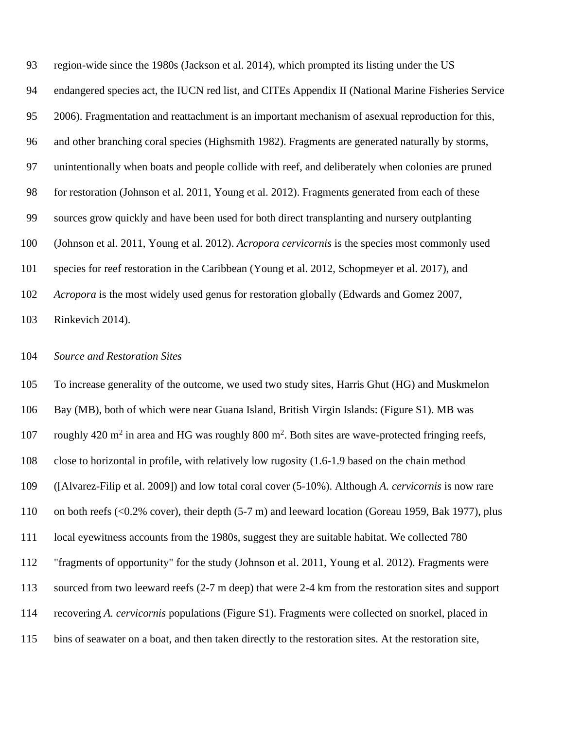region-wide since the 1980s (Jackson et al. 2014), which prompted its listing under the US endangered species act, the IUCN red list, and CITEs Appendix II (National Marine Fisheries Service 2006). Fragmentation and reattachment is an important mechanism of asexual reproduction for this, and other branching coral species (Highsmith 1982). Fragments are generated naturally by storms, unintentionally when boats and people collide with reef, and deliberately when colonies are pruned for restoration (Johnson et al. 2011, Young et al. 2012). Fragments generated from each of these sources grow quickly and have been used for both direct transplanting and nursery outplanting (Johnson et al. 2011, Young et al. 2012). *Acropora cervicornis* is the species most commonly used species for reef restoration in the Caribbean (Young et al. 2012, Schopmeyer et al. 2017), and *Acropora* is the most widely used genus for restoration globally (Edwards and Gomez 2007, Rinkevich 2014).

#### *Source and Restoration Sites*

 To increase generality of the outcome, we used two study sites, Harris Ghut (HG) and Muskmelon Bay (MB), both of which were near Guana Island, British Virgin Islands: (Figure S1). MB was 107 roughly 420 m<sup>2</sup> in area and HG was roughly 800 m<sup>2</sup>. Both sites are wave-protected fringing reefs, close to horizontal in profile, with relatively low rugosity (1.6-1.9 based on the chain method ([Alvarez-Filip et al. 2009]) and low total coral cover (5-10%). Although *A. cervicornis* is now rare 110 on both reefs (<0.2% cover), their depth (5-7 m) and leeward location (Goreau 1959, Bak 1977), plus local eyewitness accounts from the 1980s, suggest they are suitable habitat. We collected 780 "fragments of opportunity" for the study (Johnson et al. 2011, Young et al. 2012). Fragments were sourced from two leeward reefs (2-7 m deep) that were 2-4 km from the restoration sites and support recovering *A. cervicornis* populations (Figure S1). Fragments were collected on snorkel, placed in bins of seawater on a boat, and then taken directly to the restoration sites. At the restoration site,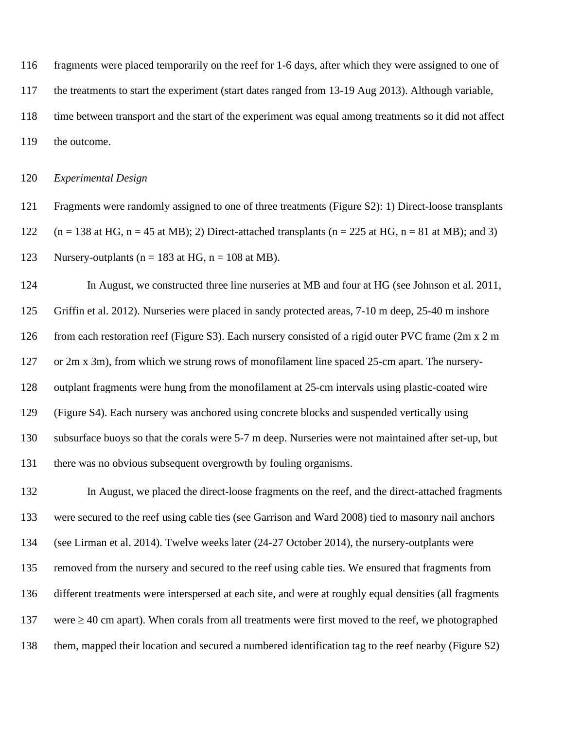fragments were placed temporarily on the reef for 1-6 days, after which they were assigned to one of the treatments to start the experiment (start dates ranged from 13-19 Aug 2013). Although variable, time between transport and the start of the experiment was equal among treatments so it did not affect

the outcome.

*Experimental Design*

 Fragments were randomly assigned to one of three treatments (Figure S2): 1) Direct-loose transplants 122  $(n = 138 \text{ at HG}, n = 45 \text{ at MB})$ ; 2) Direct-attached transplants  $(n = 225 \text{ at HG}, n = 81 \text{ at MB})$ ; and 3) 123 Nursery-outplants ( $n = 183$  at HG,  $n = 108$  at MB).

 In August, we constructed three line nurseries at MB and four at HG (see Johnson et al. 2011, Griffin et al. 2012). Nurseries were placed in sandy protected areas, 7-10 m deep, 25-40 m inshore from each restoration reef (Figure S3). Each nursery consisted of a rigid outer PVC frame (2m x 2 m or 2m x 3m), from which we strung rows of monofilament line spaced 25-cm apart. The nursery- outplant fragments were hung from the monofilament at 25-cm intervals using plastic-coated wire (Figure S4). Each nursery was anchored using concrete blocks and suspended vertically using subsurface buoys so that the corals were 5-7 m deep. Nurseries were not maintained after set-up, but there was no obvious subsequent overgrowth by fouling organisms.

 In August, we placed the direct-loose fragments on the reef, and the direct-attached fragments were secured to the reef using cable ties (see Garrison and Ward 2008) tied to masonry nail anchors (see Lirman et al. 2014). Twelve weeks later (24-27 October 2014), the nursery-outplants were removed from the nursery and secured to the reef using cable ties. We ensured that fragments from different treatments were interspersed at each site, and were at roughly equal densities (all fragments 137 were  $\geq$  40 cm apart). When corals from all treatments were first moved to the reef, we photographed them, mapped their location and secured a numbered identification tag to the reef nearby (Figure S2)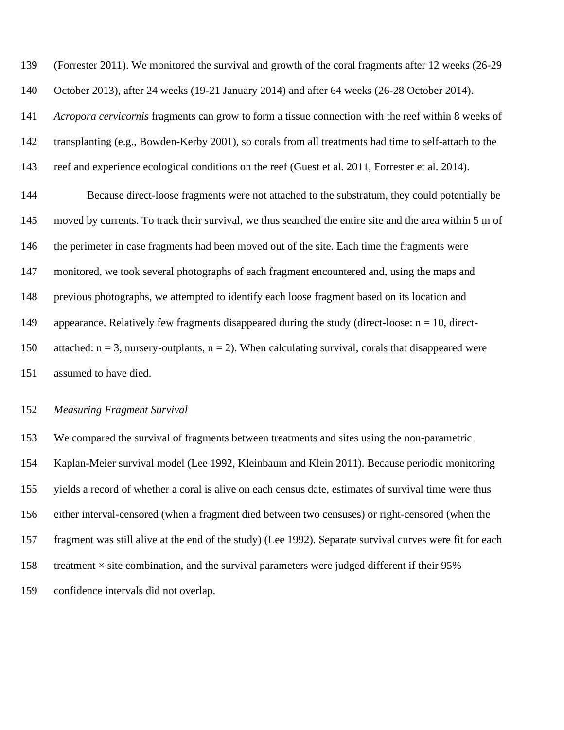(Forrester 2011). We monitored the survival and growth of the coral fragments after 12 weeks (26-29 October 2013), after 24 weeks (19-21 January 2014) and after 64 weeks (26-28 October 2014).

*Acropora cervicornis* fragments can grow to form a tissue connection with the reef within 8 weeks of

transplanting (e.g., Bowden-Kerby 2001), so corals from all treatments had time to self-attach to the

reef and experience ecological conditions on the reef (Guest et al. 2011, Forrester et al. 2014).

 Because direct-loose fragments were not attached to the substratum, they could potentially be moved by currents. To track their survival, we thus searched the entire site and the area within 5 m of the perimeter in case fragments had been moved out of the site. Each time the fragments were 147 monitored, we took several photographs of each fragment encountered and, using the maps and previous photographs, we attempted to identify each loose fragment based on its location and 149 appearance. Relatively few fragments disappeared during the study (direct-loose:  $n = 10$ , direct-150 attached:  $n = 3$ , nursery-outplants,  $n = 2$ ). When calculating survival, corals that disappeared were assumed to have died.

#### *Measuring Fragment Survival*

 We compared the survival of fragments between treatments and sites using the non-parametric Kaplan-Meier survival model (Lee 1992, Kleinbaum and Klein 2011). Because periodic monitoring yields a record of whether a coral is alive on each census date, estimates of survival time were thus either interval-censored (when a fragment died between two censuses) or right-censored (when the fragment was still alive at the end of the study) (Lee 1992). Separate survival curves were fit for each 158 treatment  $\times$  site combination, and the survival parameters were judged different if their 95% confidence intervals did not overlap.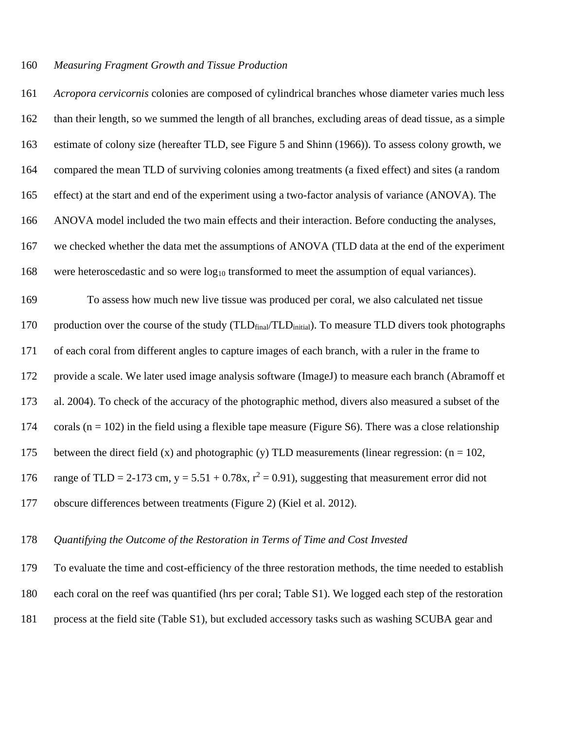#### *Measuring Fragment Growth and Tissue Production*

 *Acropora cervicornis* colonies are composed of cylindrical branches whose diameter varies much less than their length, so we summed the length of all branches, excluding areas of dead tissue, as a simple estimate of colony size (hereafter TLD, see Figure 5 and Shinn (1966)). To assess colony growth, we compared the mean TLD of surviving colonies among treatments (a fixed effect) and sites (a random effect) at the start and end of the experiment using a two-factor analysis of variance (ANOVA). The ANOVA model included the two main effects and their interaction. Before conducting the analyses, we checked whether the data met the assumptions of ANOVA (TLD data at the end of the experiment 168 were heteroscedastic and so were  $log_{10}$  transformed to meet the assumption of equal variances). To assess how much new live tissue was produced per coral, we also calculated net tissue 170 production over the course of the study (TLD<sub>final</sub>/TLD<sub>initial</sub>). To measure TLD divers took photographs of each coral from different angles to capture images of each branch, with a ruler in the frame to provide a scale. We later used image analysis software (ImageJ) to measure each branch (Abramoff et al. 2004). To check of the accuracy of the photographic method, divers also measured a subset of the 174 corals ( $n = 102$ ) in the field using a flexible tape measure (Figure S6). There was a close relationship 175 between the direct field (x) and photographic (y) TLD measurements (linear regression:  $(n = 102$ , 176 range of TLD = 2-173 cm,  $y = 5.51 + 0.78x$ ,  $r^2 = 0.91$ ), suggesting that measurement error did not

obscure differences between treatments (Figure 2) (Kiel et al. 2012).

#### *Quantifying the Outcome of the Restoration in Terms of Time and Cost Invested*

 To evaluate the time and cost-efficiency of the three restoration methods, the time needed to establish each coral on the reef was quantified (hrs per coral; Table S1). We logged each step of the restoration process at the field site (Table S1), but excluded accessory tasks such as washing SCUBA gear and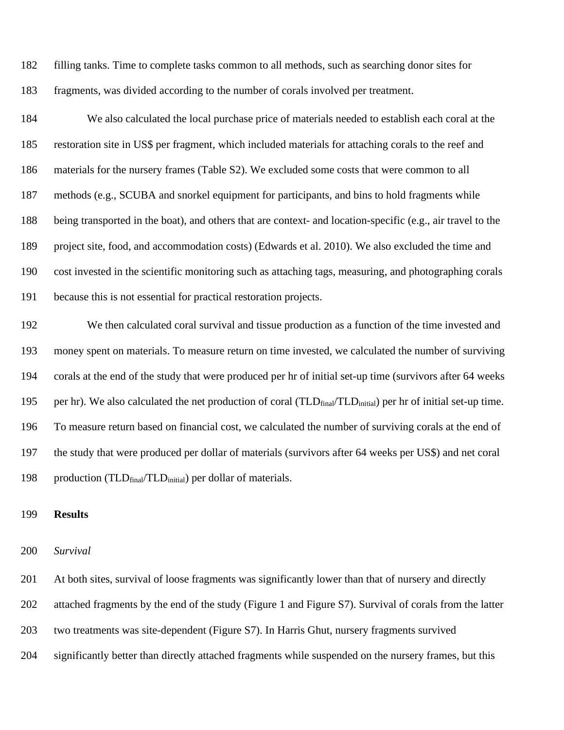filling tanks. Time to complete tasks common to all methods, such as searching donor sites for fragments, was divided according to the number of corals involved per treatment.

 We also calculated the local purchase price of materials needed to establish each coral at the restoration site in US\$ per fragment, which included materials for attaching corals to the reef and materials for the nursery frames (Table S2). We excluded some costs that were common to all methods (e.g., SCUBA and snorkel equipment for participants, and bins to hold fragments while being transported in the boat), and others that are context- and location-specific (e.g., air travel to the project site, food, and accommodation costs) (Edwards et al. 2010). We also excluded the time and cost invested in the scientific monitoring such as attaching tags, measuring, and photographing corals because this is not essential for practical restoration projects.

 We then calculated coral survival and tissue production as a function of the time invested and money spent on materials. To measure return on time invested, we calculated the number of surviving corals at the end of the study that were produced per hr of initial set-up time (survivors after 64 weeks 195 per hr). We also calculated the net production of coral (TLD<sub>final</sub>/TLD<sub>initial</sub>) per hr of initial set-up time. To measure return based on financial cost, we calculated the number of surviving corals at the end of the study that were produced per dollar of materials (survivors after 64 weeks per US\$) and net coral 198 production ( $TLD<sub>final</sub>/TLD<sub>initial</sub>$ ) per dollar of materials.

### **Results**

#### *Survival*

 At both sites, survival of loose fragments was significantly lower than that of nursery and directly attached fragments by the end of the study (Figure 1 and Figure S7). Survival of corals from the latter two treatments was site-dependent (Figure S7). In Harris Ghut, nursery fragments survived significantly better than directly attached fragments while suspended on the nursery frames, but this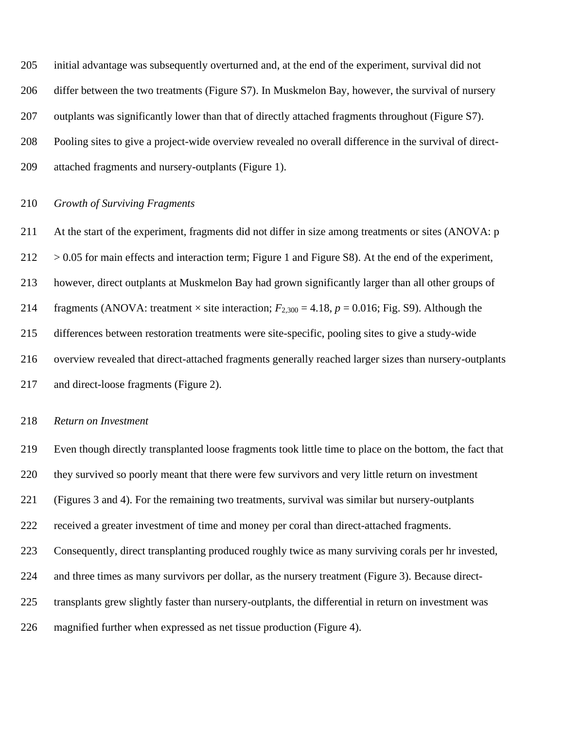initial advantage was subsequently overturned and, at the end of the experiment, survival did not differ between the two treatments (Figure S7). In Muskmelon Bay, however, the survival of nursery outplants was significantly lower than that of directly attached fragments throughout (Figure S7). Pooling sites to give a project-wide overview revealed no overall difference in the survival of direct-attached fragments and nursery-outplants (Figure 1).

#### *Growth of Surviving Fragments*

 At the start of the experiment, fragments did not differ in size among treatments or sites (ANOVA: p  $212 > 0.05$  for main effects and interaction term; Figure 1 and Figure S8). At the end of the experiment, however, direct outplants at Muskmelon Bay had grown significantly larger than all other groups of 214 fragments (ANOVA: treatment  $\times$  site interaction;  $F_{2,300} = 4.18$ ,  $p = 0.016$ ; Fig. S9). Although the differences between restoration treatments were site-specific, pooling sites to give a study-wide overview revealed that direct-attached fragments generally reached larger sizes than nursery-outplants and direct-loose fragments (Figure 2).

#### *Return on Investment*

 Even though directly transplanted loose fragments took little time to place on the bottom, the fact that they survived so poorly meant that there were few survivors and very little return on investment (Figures 3 and 4). For the remaining two treatments, survival was similar but nursery-outplants received a greater investment of time and money per coral than direct-attached fragments. Consequently, direct transplanting produced roughly twice as many surviving corals per hr invested, and three times as many survivors per dollar, as the nursery treatment (Figure 3). Because direct- transplants grew slightly faster than nursery-outplants, the differential in return on investment was magnified further when expressed as net tissue production (Figure 4).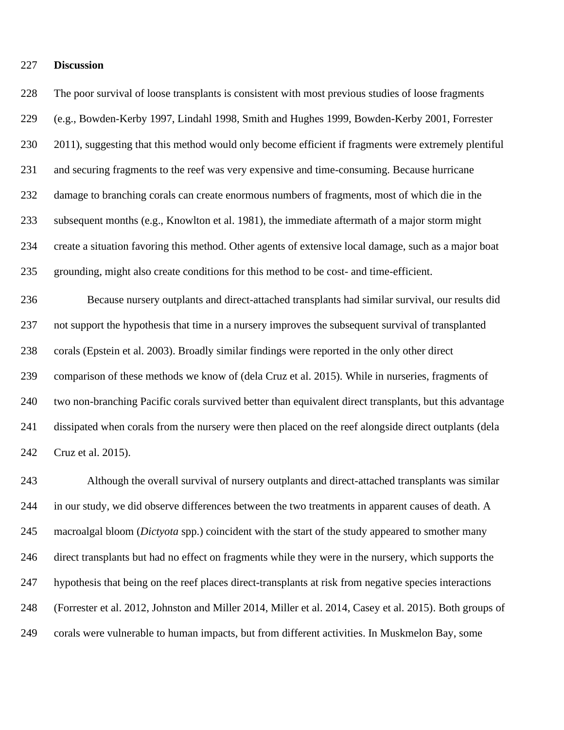#### **Discussion**

 The poor survival of loose transplants is consistent with most previous studies of loose fragments (e.g., Bowden-Kerby 1997, Lindahl 1998, Smith and Hughes 1999, Bowden-Kerby 2001, Forrester 2011), suggesting that this method would only become efficient if fragments were extremely plentiful and securing fragments to the reef was very expensive and time-consuming. Because hurricane damage to branching corals can create enormous numbers of fragments, most of which die in the subsequent months (e.g., Knowlton et al. 1981), the immediate aftermath of a major storm might create a situation favoring this method. Other agents of extensive local damage, such as a major boat grounding, might also create conditions for this method to be cost- and time-efficient. Because nursery outplants and direct-attached transplants had similar survival, our results did

 not support the hypothesis that time in a nursery improves the subsequent survival of transplanted corals (Epstein et al. 2003). Broadly similar findings were reported in the only other direct comparison of these methods we know of (dela Cruz et al. 2015). While in nurseries, fragments of two non-branching Pacific corals survived better than equivalent direct transplants, but this advantage dissipated when corals from the nursery were then placed on the reef alongside direct outplants (dela Cruz et al. 2015).

 Although the overall survival of nursery outplants and direct-attached transplants was similar in our study, we did observe differences between the two treatments in apparent causes of death. A macroalgal bloom (*Dictyota* spp.) coincident with the start of the study appeared to smother many direct transplants but had no effect on fragments while they were in the nursery, which supports the hypothesis that being on the reef places direct-transplants at risk from negative species interactions (Forrester et al. 2012, Johnston and Miller 2014, Miller et al. 2014, Casey et al. 2015). Both groups of corals were vulnerable to human impacts, but from different activities. In Muskmelon Bay, some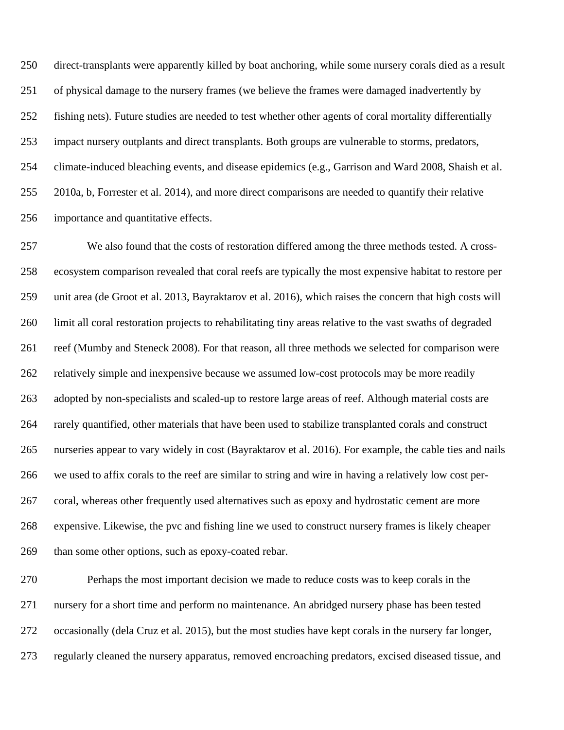direct-transplants were apparently killed by boat anchoring, while some nursery corals died as a result of physical damage to the nursery frames (we believe the frames were damaged inadvertently by fishing nets). Future studies are needed to test whether other agents of coral mortality differentially impact nursery outplants and direct transplants. Both groups are vulnerable to storms, predators, climate-induced bleaching events, and disease epidemics (e.g., Garrison and Ward 2008, Shaish et al. 2010a, b, Forrester et al. 2014), and more direct comparisons are needed to quantify their relative importance and quantitative effects.

 We also found that the costs of restoration differed among the three methods tested. A cross- ecosystem comparison revealed that coral reefs are typically the most expensive habitat to restore per unit area (de Groot et al. 2013, Bayraktarov et al. 2016), which raises the concern that high costs will limit all coral restoration projects to rehabilitating tiny areas relative to the vast swaths of degraded reef (Mumby and Steneck 2008). For that reason, all three methods we selected for comparison were relatively simple and inexpensive because we assumed low-cost protocols may be more readily adopted by non-specialists and scaled-up to restore large areas of reef. Although material costs are rarely quantified, other materials that have been used to stabilize transplanted corals and construct nurseries appear to vary widely in cost (Bayraktarov et al. 2016). For example, the cable ties and nails we used to affix corals to the reef are similar to string and wire in having a relatively low cost per- coral, whereas other frequently used alternatives such as epoxy and hydrostatic cement are more expensive. Likewise, the pvc and fishing line we used to construct nursery frames is likely cheaper than some other options, such as epoxy-coated rebar.

 Perhaps the most important decision we made to reduce costs was to keep corals in the nursery for a short time and perform no maintenance. An abridged nursery phase has been tested occasionally (dela Cruz et al. 2015), but the most studies have kept corals in the nursery far longer, regularly cleaned the nursery apparatus, removed encroaching predators, excised diseased tissue, and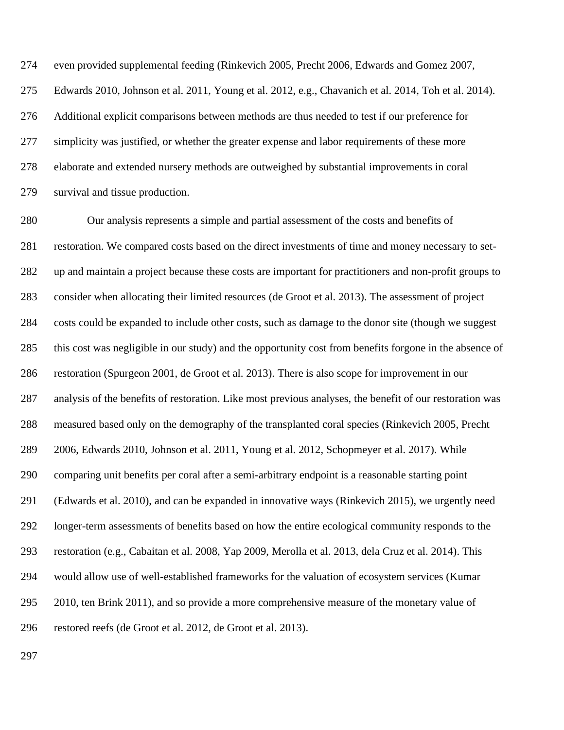even provided supplemental feeding (Rinkevich 2005, Precht 2006, Edwards and Gomez 2007, Edwards 2010, Johnson et al. 2011, Young et al. 2012, e.g., Chavanich et al. 2014, Toh et al. 2014). Additional explicit comparisons between methods are thus needed to test if our preference for simplicity was justified, or whether the greater expense and labor requirements of these more elaborate and extended nursery methods are outweighed by substantial improvements in coral survival and tissue production.

 Our analysis represents a simple and partial assessment of the costs and benefits of restoration. We compared costs based on the direct investments of time and money necessary to set- up and maintain a project because these costs are important for practitioners and non-profit groups to consider when allocating their limited resources (de Groot et al. 2013). The assessment of project costs could be expanded to include other costs, such as damage to the donor site (though we suggest this cost was negligible in our study) and the opportunity cost from benefits forgone in the absence of restoration (Spurgeon 2001, de Groot et al. 2013). There is also scope for improvement in our analysis of the benefits of restoration. Like most previous analyses, the benefit of our restoration was measured based only on the demography of the transplanted coral species (Rinkevich 2005, Precht 2006, Edwards 2010, Johnson et al. 2011, Young et al. 2012, Schopmeyer et al. 2017). While comparing unit benefits per coral after a semi-arbitrary endpoint is a reasonable starting point (Edwards et al. 2010), and can be expanded in innovative ways (Rinkevich 2015), we urgently need longer-term assessments of benefits based on how the entire ecological community responds to the restoration (e.g., Cabaitan et al. 2008, Yap 2009, Merolla et al. 2013, dela Cruz et al. 2014). This would allow use of well-established frameworks for the valuation of ecosystem services (Kumar 295 2010, ten Brink 2011), and so provide a more comprehensive measure of the monetary value of restored reefs (de Groot et al. 2012, de Groot et al. 2013).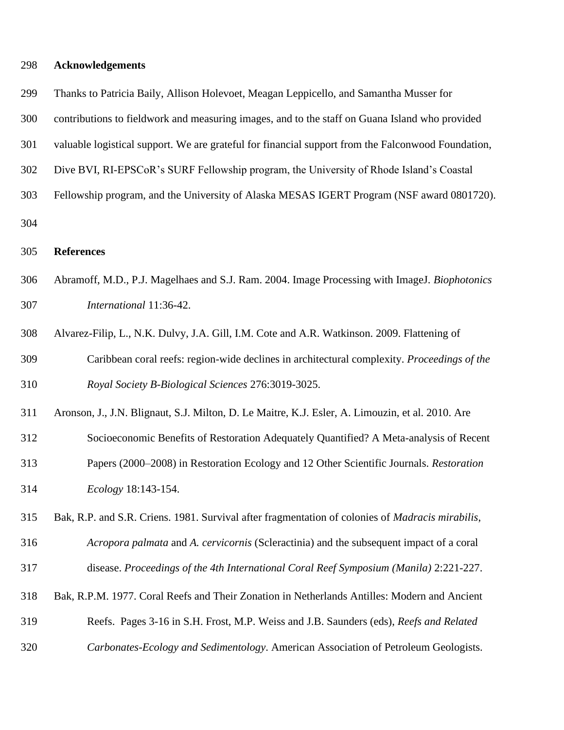| 298 | <b>Acknowledgements</b> |  |
|-----|-------------------------|--|
|-----|-------------------------|--|

| 299 | Thanks to Patricia Baily, Allison Holevoet, Meagan Leppicello, and Samantha Musser for                   |
|-----|----------------------------------------------------------------------------------------------------------|
| 300 | contributions to fieldwork and measuring images, and to the staff on Guana Island who provided           |
| 301 | valuable logistical support. We are grateful for financial support from the Falconwood Foundation,       |
| 302 | Dive BVI, RI-EPSCoR's SURF Fellowship program, the University of Rhode Island's Coastal                  |
| 303 | Fellowship program, and the University of Alaska MESAS IGERT Program (NSF award 0801720).                |
| 304 |                                                                                                          |
| 305 | <b>References</b>                                                                                        |
| 306 | Abramoff, M.D., P.J. Magelhaes and S.J. Ram. 2004. Image Processing with ImageJ. Biophotonics            |
| 307 | International 11:36-42.                                                                                  |
| 308 | Alvarez-Filip, L., N.K. Dulvy, J.A. Gill, I.M. Cote and A.R. Watkinson. 2009. Flattening of              |
| 309 | Caribbean coral reefs: region-wide declines in architectural complexity. Proceedings of the              |
| 310 | Royal Society B-Biological Sciences 276:3019-3025.                                                       |
| 311 | Aronson, J., J.N. Blignaut, S.J. Milton, D. Le Maitre, K.J. Esler, A. Limouzin, et al. 2010. Are         |
| 312 | Socioeconomic Benefits of Restoration Adequately Quantified? A Meta-analysis of Recent                   |
| 313 | Papers (2000–2008) in Restoration Ecology and 12 Other Scientific Journals. Restoration                  |
| 314 | Ecology 18:143-154.                                                                                      |
| 315 | Bak, R.P. and S.R. Criens. 1981. Survival after fragmentation of colonies of <i>Madracis mirabilis</i> , |
| 316 | Acropora palmata and A. cervicornis (Scleractinia) and the subsequent impact of a coral                  |
| 317 | disease. Proceedings of the 4th International Coral Reef Symposium (Manila) 2:221-227.                   |
| 318 | Bak, R.P.M. 1977. Coral Reefs and Their Zonation in Netherlands Antilles: Modern and Ancient             |
| 319 | Reefs. Pages 3-16 in S.H. Frost, M.P. Weiss and J.B. Saunders (eds), Reefs and Related                   |
| 320 | Carbonates-Ecology and Sedimentology. American Association of Petroleum Geologists.                      |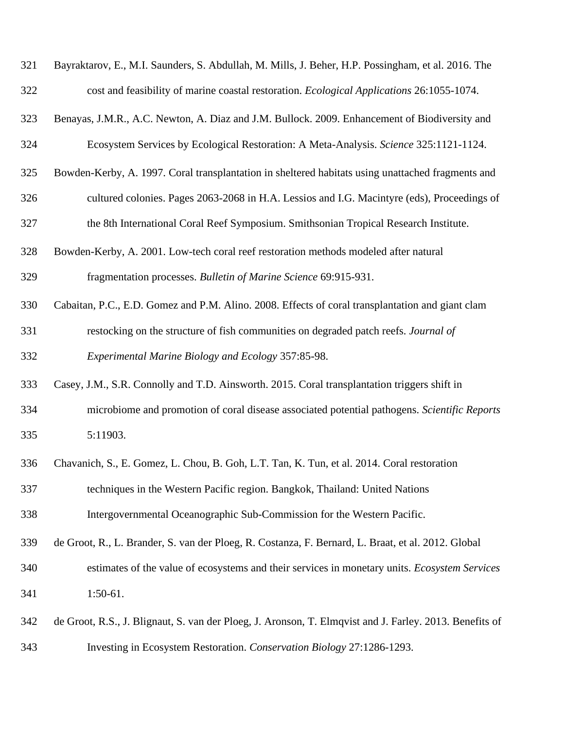| 321 | Bayraktarov, E., M.I. Saunders, S. Abdullah, M. Mills, J. Beher, H.P. Possingham, et al. 2016. The      |
|-----|---------------------------------------------------------------------------------------------------------|
| 322 | cost and feasibility of marine coastal restoration. <i>Ecological Applications</i> 26:1055-1074.        |
| 323 | Benayas, J.M.R., A.C. Newton, A. Diaz and J.M. Bullock. 2009. Enhancement of Biodiversity and           |
| 324 | Ecosystem Services by Ecological Restoration: A Meta-Analysis. Science 325:1121-1124.                   |
| 325 | Bowden-Kerby, A. 1997. Coral transplantation in sheltered habitats using unattached fragments and       |
| 326 | cultured colonies. Pages 2063-2068 in H.A. Lessios and I.G. Macintyre (eds), Proceedings of             |
| 327 | the 8th International Coral Reef Symposium. Smithsonian Tropical Research Institute.                    |
| 328 | Bowden-Kerby, A. 2001. Low-tech coral reef restoration methods modeled after natural                    |
| 329 | fragmentation processes. Bulletin of Marine Science 69:915-931.                                         |
| 330 | Cabaitan, P.C., E.D. Gomez and P.M. Alino. 2008. Effects of coral transplantation and giant clam        |
| 331 | restocking on the structure of fish communities on degraded patch reefs. Journal of                     |
| 332 | Experimental Marine Biology and Ecology 357:85-98.                                                      |
| 333 | Casey, J.M., S.R. Connolly and T.D. Ainsworth. 2015. Coral transplantation triggers shift in            |
| 334 | microbiome and promotion of coral disease associated potential pathogens. Scientific Reports            |
| 335 | 5:11903.                                                                                                |
| 336 | Chavanich, S., E. Gomez, L. Chou, B. Goh, L.T. Tan, K. Tun, et al. 2014. Coral restoration              |
| 337 | techniques in the Western Pacific region. Bangkok, Thailand: United Nations                             |
| 338 | Intergovernmental Oceanographic Sub-Commission for the Western Pacific.                                 |
| 339 | de Groot, R., L. Brander, S. van der Ploeg, R. Costanza, F. Bernard, L. Braat, et al. 2012. Global      |
| 340 | estimates of the value of ecosystems and their services in monetary units. Ecosystem Services           |
| 341 | $1:50-61.$                                                                                              |
| 342 | de Groot, R.S., J. Blignaut, S. van der Ploeg, J. Aronson, T. Elmqvist and J. Farley. 2013. Benefits of |
| 343 | Investing in Ecosystem Restoration. Conservation Biology 27:1286-1293.                                  |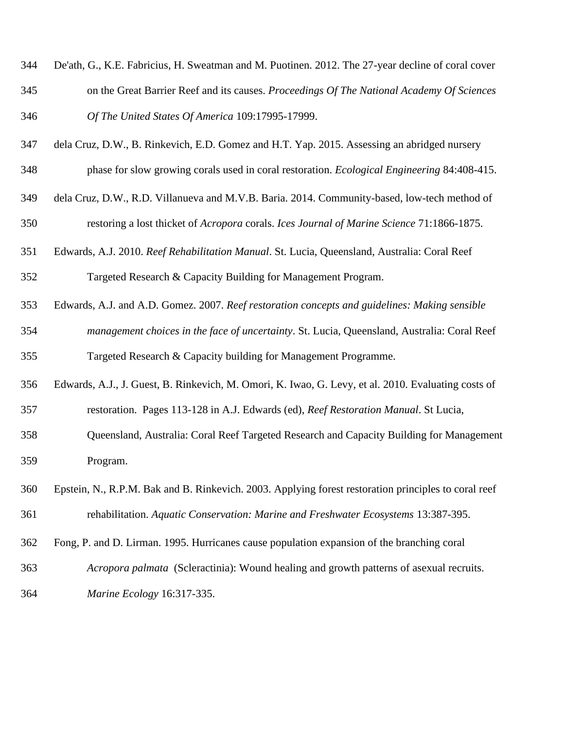- De'ath, G., K.E. Fabricius, H. Sweatman and M. Puotinen. 2012. The 27-year decline of coral cover on the Great Barrier Reef and its causes. *Proceedings Of The National Academy Of Sciences Of The United States Of America* 109:17995-17999.
- dela Cruz, D.W., B. Rinkevich, E.D. Gomez and H.T. Yap. 2015. Assessing an abridged nursery
- phase for slow growing corals used in coral restoration. *Ecological Engineering* 84:408-415.
- dela Cruz, D.W., R.D. Villanueva and M.V.B. Baria. 2014. Community-based, low-tech method of restoring a lost thicket of *Acropora* corals. *Ices Journal of Marine Science* 71:1866-1875.
- Edwards, A.J. 2010. *Reef Rehabilitation Manual*. St. Lucia, Queensland, Australia: Coral Reef Targeted Research & Capacity Building for Management Program.
- Edwards, A.J. and A.D. Gomez. 2007. *Reef restoration concepts and guidelines: Making sensible*
- *management choices in the face of uncertainty*. St. Lucia, Queensland, Australia: Coral Reef Targeted Research & Capacity building for Management Programme.
- Edwards, A.J., J. Guest, B. Rinkevich, M. Omori, K. Iwao, G. Levy, et al. 2010. Evaluating costs of restoration. Pages 113-128 in A.J. Edwards (ed), *Reef Restoration Manual*. St Lucia,
- Queensland, Australia: Coral Reef Targeted Research and Capacity Building for Management Program.
- Epstein, N., R.P.M. Bak and B. Rinkevich. 2003. Applying forest restoration principles to coral reef rehabilitation. *Aquatic Conservation: Marine and Freshwater Ecosystems* 13:387-395.
- Fong, P. and D. Lirman. 1995. Hurricanes cause population expansion of the branching coral
- *Acropora palmata* (Scleractinia): Wound healing and growth patterns of asexual recruits.
- *Marine Ecology* 16:317-335.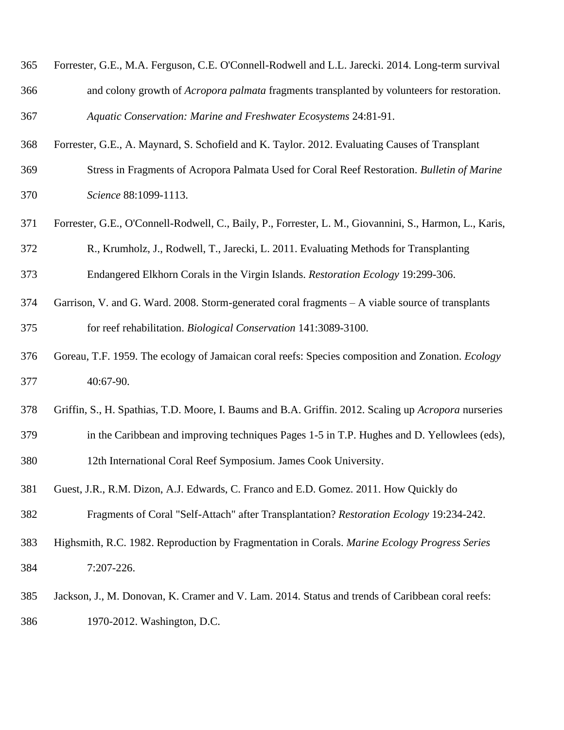| 365 | Forrester, G.E., M.A. Ferguson, C.E. O'Connell-Rodwell and L.L. Jarecki. 2014. Long-term survival  |
|-----|----------------------------------------------------------------------------------------------------|
| 366 | and colony growth of <i>Acropora palmata</i> fragments transplanted by volunteers for restoration. |
| 367 | Aquatic Conservation: Marine and Freshwater Ecosystems 24:81-91.                                   |

Forrester, G.E., A. Maynard, S. Schofield and K. Taylor. 2012. Evaluating Causes of Transplant

- Stress in Fragments of Acropora Palmata Used for Coral Reef Restoration. *Bulletin of Marine Science* 88:1099-1113.
- Forrester, G.E., O'Connell-Rodwell, C., Baily, P., Forrester, L. M., Giovannini, S., Harmon, L., Karis,
- R., Krumholz, J., Rodwell, T., Jarecki, L. 2011. Evaluating Methods for Transplanting Endangered Elkhorn Corals in the Virgin Islands. *Restoration Ecology* 19:299-306.
- Garrison, V. and G. Ward. 2008. Storm-generated coral fragments A viable source of transplants for reef rehabilitation. *Biological Conservation* 141:3089-3100.
- Goreau, T.F. 1959. The ecology of Jamaican coral reefs: Species composition and Zonation. *Ecology* 40:67-90.
- Griffin, S., H. Spathias, T.D. Moore, I. Baums and B.A. Griffin. 2012. Scaling up *Acropora* nurseries in the Caribbean and improving techniques Pages 1-5 in T.P. Hughes and D. Yellowlees (eds), 12th International Coral Reef Symposium. James Cook University.
- Guest, J.R., R.M. Dizon, A.J. Edwards, C. Franco and E.D. Gomez. 2011. How Quickly do Fragments of Coral "Self-Attach" after Transplantation? *Restoration Ecology* 19:234-242.
- Highsmith, R.C. 1982. Reproduction by Fragmentation in Corals. *Marine Ecology Progress Series* 7:207-226.
- Jackson, J., M. Donovan, K. Cramer and V. Lam. 2014. Status and trends of Caribbean coral reefs: 1970-2012. Washington, D.C.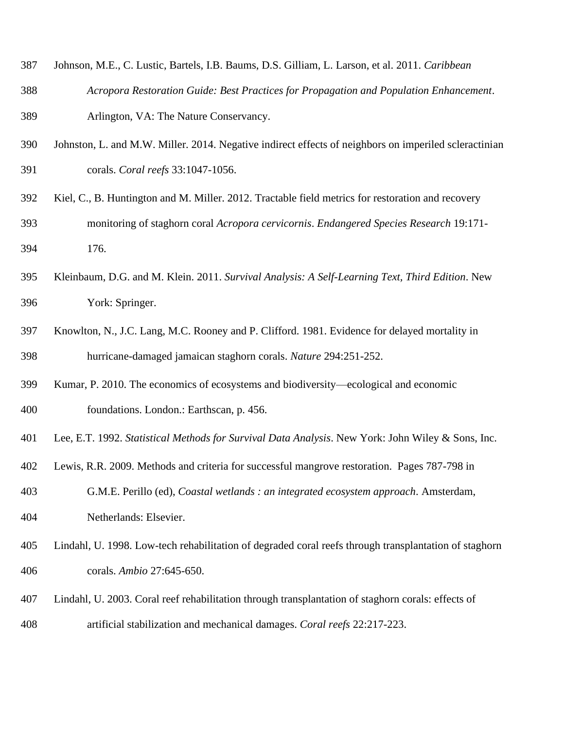- Johnson, M.E., C. Lustic, Bartels, I.B. Baums, D.S. Gilliam, L. Larson, et al. 2011. *Caribbean*
- *Acropora Restoration Guide: Best Practices for Propagation and Population Enhancement*. Arlington, VA: The Nature Conservancy.
- Johnston, L. and M.W. Miller. 2014. Negative indirect effects of neighbors on imperiled scleractinian corals. *Coral reefs* 33:1047-1056.
- Kiel, C., B. Huntington and M. Miller. 2012. Tractable field metrics for restoration and recovery monitoring of staghorn coral *Acropora cervicornis*. *Endangered Species Research* 19:171- 176.
- Kleinbaum, D.G. and M. Klein. 2011. *Survival Analysis: A Self-Learning Text, Third Edition*. New York: Springer.
- Knowlton, N., J.C. Lang, M.C. Rooney and P. Clifford. 1981. Evidence for delayed mortality in hurricane-damaged jamaican staghorn corals. *Nature* 294:251-252.
- Kumar, P. 2010. The economics of ecosystems and biodiversity—ecological and economic foundations. London.: Earthscan, p. 456.
- Lee, E.T. 1992. *Statistical Methods for Survival Data Analysis*. New York: John Wiley & Sons, Inc.
- Lewis, R.R. 2009. Methods and criteria for successful mangrove restoration. Pages 787-798 in
- G.M.E. Perillo (ed), *Coastal wetlands : an integrated ecosystem approach*. Amsterdam, Netherlands: Elsevier.
- Lindahl, U. 1998. Low-tech rehabilitation of degraded coral reefs through transplantation of staghorn corals. *Ambio* 27:645-650.
- Lindahl, U. 2003. Coral reef rehabilitation through transplantation of staghorn corals: effects of artificial stabilization and mechanical damages. *Coral reefs* 22:217-223.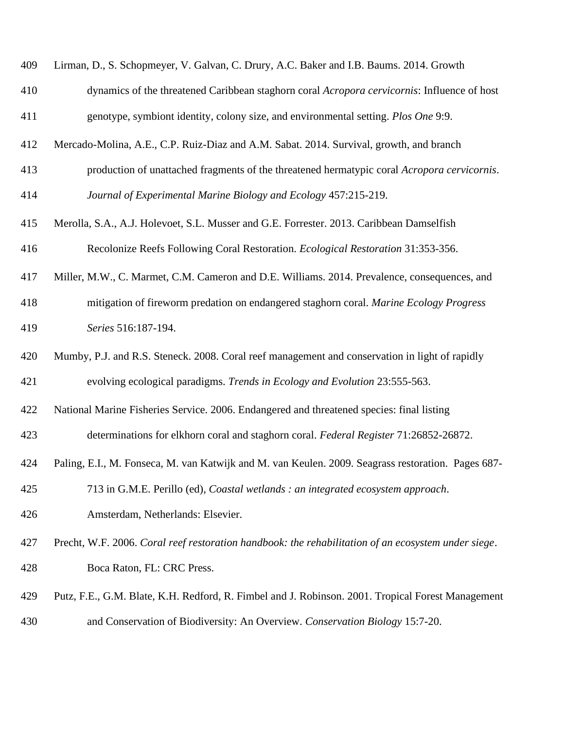| 409 | Lirman, D., S. Schopmeyer, V. Galvan, C. Drury, A.C. Baker and I.B. Baums. 2014. Growth             |
|-----|-----------------------------------------------------------------------------------------------------|
| 410 | dynamics of the threatened Caribbean staghorn coral Acropora cervicornis: Influence of host         |
| 411 | genotype, symbiont identity, colony size, and environmental setting. Plos One 9:9.                  |
| 412 | Mercado-Molina, A.E., C.P. Ruiz-Diaz and A.M. Sabat. 2014. Survival, growth, and branch             |
| 413 | production of unattached fragments of the threatened hermatypic coral Acropora cervicornis.         |
| 414 | Journal of Experimental Marine Biology and Ecology 457:215-219.                                     |
| 415 | Merolla, S.A., A.J. Holevoet, S.L. Musser and G.E. Forrester. 2013. Caribbean Damselfish            |
| 416 | Recolonize Reefs Following Coral Restoration. Ecological Restoration 31:353-356.                    |
| 417 | Miller, M.W., C. Marmet, C.M. Cameron and D.E. Williams. 2014. Prevalence, consequences, and        |
| 418 | mitigation of fireworm predation on endangered staghorn coral. Marine Ecology Progress              |
| 419 | Series 516:187-194.                                                                                 |
| 420 | Mumby, P.J. and R.S. Steneck. 2008. Coral reef management and conservation in light of rapidly      |
| 421 | evolving ecological paradigms. Trends in Ecology and Evolution 23:555-563.                          |
| 422 | National Marine Fisheries Service. 2006. Endangered and threatened species: final listing           |
| 423 | determinations for elkhorn coral and staghorn coral. Federal Register 71:26852-26872.               |
| 424 | Paling, E.I., M. Fonseca, M. van Katwijk and M. van Keulen. 2009. Seagrass restoration. Pages 687-  |
| 425 | 713 in G.M.E. Perillo (ed), Coastal wetlands : an integrated ecosystem approach.                    |
| 426 | Amsterdam, Netherlands: Elsevier.                                                                   |
| 427 | Precht, W.F. 2006. Coral reef restoration handbook: the rehabilitation of an ecosystem under siege. |
| 428 | Boca Raton, FL: CRC Press.                                                                          |
| 429 | Putz, F.E., G.M. Blate, K.H. Redford, R. Fimbel and J. Robinson. 2001. Tropical Forest Management   |
| 430 | and Conservation of Biodiversity: An Overview. Conservation Biology 15:7-20.                        |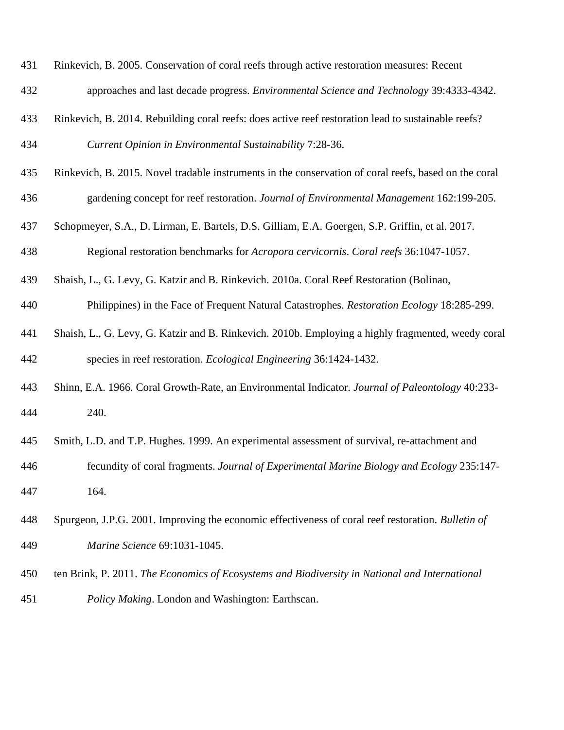| 431 | Rinkevich, B. 2005. Conservation of coral reefs through active restoration measures: Recent           |
|-----|-------------------------------------------------------------------------------------------------------|
| 432 | approaches and last decade progress. Environmental Science and Technology 39:4333-4342.               |
| 433 | Rinkevich, B. 2014. Rebuilding coral reefs: does active reef restoration lead to sustainable reefs?   |
| 434 | Current Opinion in Environmental Sustainability 7:28-36.                                              |
| 435 | Rinkevich, B. 2015. Novel tradable instruments in the conservation of coral reefs, based on the coral |
| 436 | gardening concept for reef restoration. Journal of Environmental Management 162:199-205.              |
| 437 | Schopmeyer, S.A., D. Lirman, E. Bartels, D.S. Gilliam, E.A. Goergen, S.P. Griffin, et al. 2017.       |
| 438 | Regional restoration benchmarks for Acropora cervicornis. Coral reefs 36:1047-1057.                   |
| 439 | Shaish, L., G. Levy, G. Katzir and B. Rinkevich. 2010a. Coral Reef Restoration (Bolinao,              |
| 440 | Philippines) in the Face of Frequent Natural Catastrophes. Restoration Ecology 18:285-299.            |
| 441 | Shaish, L., G. Levy, G. Katzir and B. Rinkevich. 2010b. Employing a highly fragmented, weedy coral    |
| 442 | species in reef restoration. <i>Ecological Engineering</i> 36:1424-1432.                              |
| 443 | Shinn, E.A. 1966. Coral Growth-Rate, an Environmental Indicator. Journal of Paleontology 40:233-      |
| 444 | 240.                                                                                                  |
| 445 | Smith, L.D. and T.P. Hughes. 1999. An experimental assessment of survival, re-attachment and          |
| 446 | fecundity of coral fragments. Journal of Experimental Marine Biology and Ecology 235:147-             |
| 447 | 164.                                                                                                  |
| 448 | Spurgeon, J.P.G. 2001. Improving the economic effectiveness of coral reef restoration. Bulletin of    |
| 449 | Marine Science 69:1031-1045.                                                                          |
| 450 | ten Brink, P. 2011. The Economics of Ecosystems and Biodiversity in National and International        |
| 451 | Policy Making. London and Washington: Earthscan.                                                      |
|     |                                                                                                       |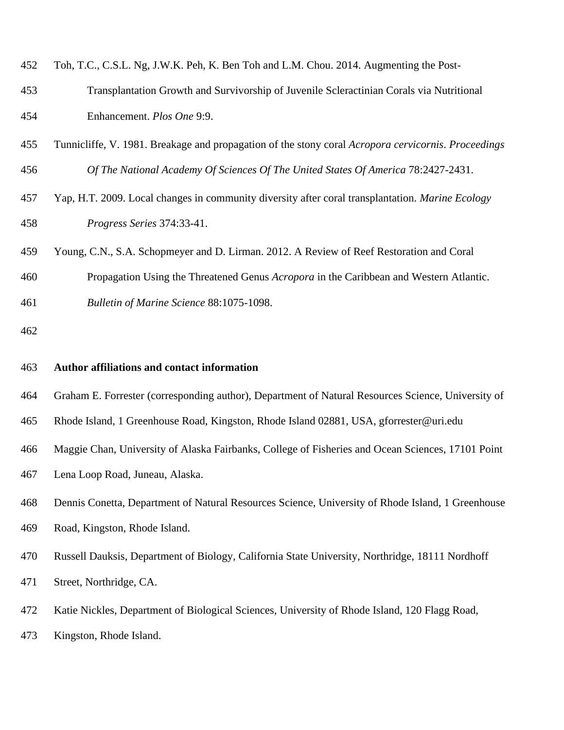| 452 | Toh, T.C., C.S.L. Ng, J.W.K. Peh, K. Ben Toh and L.M. Chou. 2014. Augmenting the Post-   |
|-----|------------------------------------------------------------------------------------------|
| 453 | Transplantation Growth and Survivorship of Juvenile Scleractinian Corals via Nutritional |
| 454 | Enhancement. <i>Plos One</i> 9:9.                                                        |

- Tunnicliffe, V. 1981. Breakage and propagation of the stony coral *Acropora cervicornis*. *Proceedings Of The National Academy Of Sciences Of The United States Of America* 78:2427-2431.
- Yap, H.T. 2009. Local changes in community diversity after coral transplantation. *Marine Ecology Progress Series* 374:33-41.
- Young, C.N., S.A. Schopmeyer and D. Lirman. 2012. A Review of Reef Restoration and Coral
- Propagation Using the Threatened Genus *Acropora* in the Caribbean and Western Atlantic.
- *Bulletin of Marine Science* 88:1075-1098.

#### **Author affiliations and contact information**

- Graham E. Forrester (corresponding author), Department of Natural Resources Science, University of
- Rhode Island, 1 Greenhouse Road, Kingston, Rhode Island 02881, USA, gforrester@uri.edu
- Maggie Chan, University of Alaska Fairbanks, College of Fisheries and Ocean Sciences, 17101 Point

Lena Loop Road, Juneau, Alaska.

- Dennis Conetta, Department of Natural Resources Science, University of Rhode Island, 1 Greenhouse Road, Kingston, Rhode Island.
- Russell Dauksis, Department of Biology, California State University, Northridge, 18111 Nordhoff

Street, Northridge, CA.

- Katie Nickles, Department of Biological Sciences, University of Rhode Island, 120 Flagg Road,
- Kingston, Rhode Island.